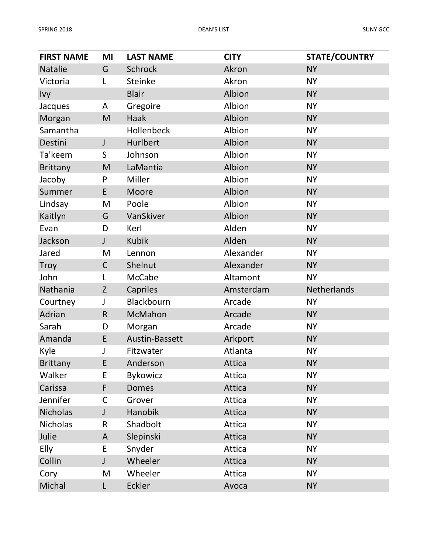| <b>FIRST NAME</b> | MI           | <b>LAST NAME</b> | <b>CITY</b> | <b>STATE/COUNTRY</b> |
|-------------------|--------------|------------------|-------------|----------------------|
| <b>Natalie</b>    | G            | <b>Schrock</b>   | Akron       | <b>NY</b>            |
| Victoria          | L            | <b>Steinke</b>   | Akron       | <b>NY</b>            |
| <b>Ivy</b>        |              | <b>Blair</b>     | Albion      | <b>NY</b>            |
| Jacques           | A            | Gregoire         | Albion      | <b>NY</b>            |
| Morgan            | M            | <b>Haak</b>      | Albion      | <b>NY</b>            |
| Samantha          |              | Hollenbeck       | Albion      | <b>NY</b>            |
| Destini           | $\mathsf J$  | Hurlbert         | Albion      | <b>NY</b>            |
| Ta'keem           | S            | Johnson          | Albion      | <b>NY</b>            |
| <b>Brittany</b>   | M            | LaMantia         | Albion      | <b>NY</b>            |
| Jacoby            | P            | Miller           | Albion      | <b>NY</b>            |
| Summer            | E            | Moore            | Albion      | <b>NY</b>            |
| Lindsay           | M            | Poole            | Albion      | <b>NY</b>            |
| Kaitlyn           | G            | VanSkiver        | Albion      | <b>NY</b>            |
| Evan              | D            | Kerl             | Alden       | <b>NY</b>            |
| Jackson           | J            | <b>Kubik</b>     | Alden       | <b>NY</b>            |
| Jared             | M            | Lennon           | Alexander   | <b>NY</b>            |
| <b>Troy</b>       | $\mathsf C$  | Shelnut          | Alexander   | <b>NY</b>            |
| John              | L            | McCabe           | Altamont    | <b>NY</b>            |
| Nathania          | Z            | Capriles         | Amsterdam   | Netherlands          |
| Courtney          | J            | Blackbourn       | Arcade      | <b>NY</b>            |
| Adrian            | R            | McMahon          | Arcade      | <b>NY</b>            |
| Sarah             | D            | Morgan           | Arcade      | <b>NY</b>            |
| Amanda            | E            | Austin-Bassett   | Arkport     | <b>NY</b>            |
| Kyle              | J            | Fitzwater        | Atlanta     | <b>NY</b>            |
| <b>Brittany</b>   | E            | Anderson         | Attica      | <b>NY</b>            |
| Walker            | E            | <b>Bykowicz</b>  | Attica      | <b>NY</b>            |
| Carissa           | F            | <b>Domes</b>     | Attica      | <b>NY</b>            |
| Jennifer          | $\mathsf C$  | Grover           | Attica      | <b>NY</b>            |
| <b>Nicholas</b>   | J            | Hanobik          | Attica      | <b>NY</b>            |
| <b>Nicholas</b>   | R            | Shadbolt         | Attica      | <b>NY</b>            |
| Julie             | $\mathsf{A}$ | Slepinski        | Attica      | <b>NY</b>            |
| <b>Elly</b>       | E            | Snyder           | Attica      | <b>NY</b>            |
| Collin            | J            | Wheeler          | Attica      | <b>NY</b>            |
| Cory              | M            | Wheeler          | Attica      | <b>NY</b>            |
| Michal            | L            | Eckler           | Avoca       | <b>NY</b>            |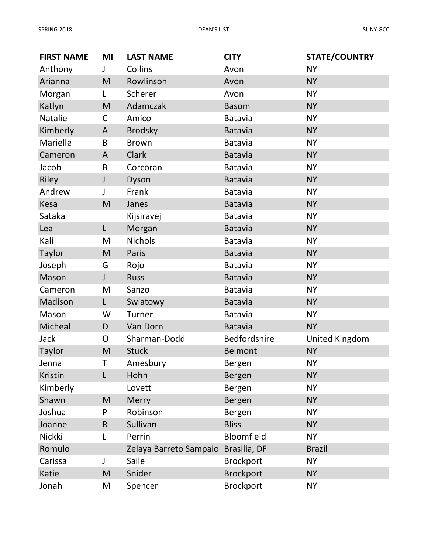| <b>FIRST NAME</b> | ΜI           | <b>LAST NAME</b>       | <b>CITY</b>       | <b>STATE/COUNTRY</b>  |
|-------------------|--------------|------------------------|-------------------|-----------------------|
| Anthony           | J            | Collins                | Avon              | <b>NY</b>             |
| Arianna           | M            | Rowlinson              | Avon              | <b>NY</b>             |
| Morgan            | L            | Scherer                | Avon              | <b>NY</b>             |
| Katlyn            | M            | Adamczak               | <b>Basom</b>      | <b>NY</b>             |
| Natalie           | C            | Amico                  | <b>Batavia</b>    | <b>NY</b>             |
| Kimberly          | A            | <b>Brodsky</b>         | <b>Batavia</b>    | <b>NY</b>             |
| Marielle          | B            | <b>Brown</b>           | <b>Batavia</b>    | <b>NY</b>             |
| Cameron           | A            | <b>Clark</b>           | <b>Batavia</b>    | <b>NY</b>             |
| Jacob             | B            | Corcoran               | <b>Batavia</b>    | <b>NY</b>             |
| Riley             | J            | Dyson                  | <b>Batavia</b>    | <b>NY</b>             |
| Andrew            | J            | Frank                  | <b>Batavia</b>    | <b>NY</b>             |
| Kesa              | M            | Janes                  | <b>Batavia</b>    | <b>NY</b>             |
| Sataka            |              | Kijsiravej             | <b>Batavia</b>    | <b>NY</b>             |
| Lea               | L            | Morgan                 | <b>Batavia</b>    | <b>NY</b>             |
| Kali              | M            | <b>Nichols</b>         | <b>Batavia</b>    | <b>NY</b>             |
| Taylor            | M            | Paris                  | <b>Batavia</b>    | <b>NY</b>             |
| Joseph            | G            | Rojo                   | <b>Batavia</b>    | <b>NY</b>             |
| Mason             | $\mathsf{J}$ | <b>Russ</b>            | <b>Batavia</b>    | <b>NY</b>             |
| Cameron           | M            | Sanzo                  | <b>Batavia</b>    | <b>NY</b>             |
| Madison           | L            | Swiatowy               | <b>Batavia</b>    | <b>NY</b>             |
| Mason             | W            | <b>Turner</b>          | <b>Batavia</b>    | <b>NY</b>             |
| Micheal           | D            | Van Dorn               | <b>Batavia</b>    | <b>NY</b>             |
| Jack              | O            | Sharman-Dodd           | Bedfordshire      | <b>United Kingdom</b> |
| Taylor            | M            | <b>Stuck</b>           | <b>Belmont</b>    | <b>NY</b>             |
| Jenna             | T.           | Amesbury               | Bergen            | <b>NY</b>             |
| Kristin           | L            | Hohn                   | Bergen            | <b>NY</b>             |
| Kimberly          |              | Lovett                 | Bergen            | <b>NY</b>             |
| Shawn             | M            | <b>Merry</b>           | Bergen            | <b>NY</b>             |
| Joshua            | P            | Robinson               | Bergen            | <b>NY</b>             |
| Joanne            | R            | Sullivan               | <b>Bliss</b>      | <b>NY</b>             |
| Nickki            | L            | Perrin                 | <b>Bloomfield</b> | <b>NY</b>             |
| Romulo            |              | Zelaya Barreto Sampaio | Brasilia, DF      | <b>Brazil</b>         |
| Carissa           | J            | Saile                  | <b>Brockport</b>  | <b>NY</b>             |
| Katie             | M            | Snider                 | <b>Brockport</b>  | <b>NY</b>             |
| Jonah             | M            | Spencer                | <b>Brockport</b>  | <b>NY</b>             |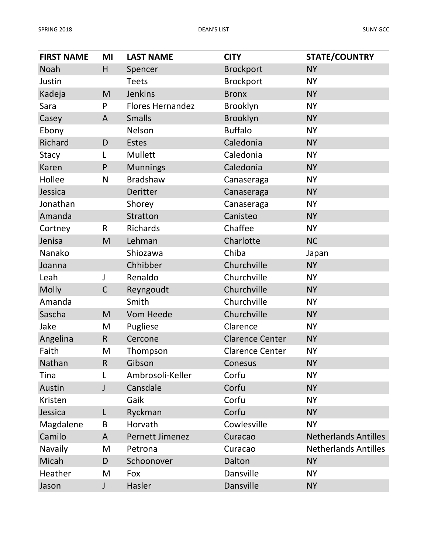| <b>FIRST NAME</b> | MI           | <b>LAST NAME</b>        | <b>CITY</b>            | <b>STATE/COUNTRY</b>        |
|-------------------|--------------|-------------------------|------------------------|-----------------------------|
| Noah              | H            | Spencer                 | <b>Brockport</b>       | <b>NY</b>                   |
| Justin            |              | <b>Teets</b>            | <b>Brockport</b>       | <b>NY</b>                   |
| Kadeja            | M            | <b>Jenkins</b>          | <b>Bronx</b>           | <b>NY</b>                   |
| Sara              | P            | <b>Flores Hernandez</b> | Brooklyn               | <b>NY</b>                   |
| Casey             | $\mathsf{A}$ | <b>Smalls</b>           | Brooklyn               | <b>NY</b>                   |
| Ebony             |              | Nelson                  | <b>Buffalo</b>         | <b>NY</b>                   |
| Richard           | D            | <b>Estes</b>            | Caledonia              | <b>NY</b>                   |
| Stacy             | L            | Mullett                 | Caledonia              | <b>NY</b>                   |
| Karen             | $\mathsf{P}$ | <b>Munnings</b>         | Caledonia              | <b>NY</b>                   |
| Hollee            | N            | <b>Bradshaw</b>         | Canaseraga             | <b>NY</b>                   |
| Jessica           |              | Deritter                | Canaseraga             | <b>NY</b>                   |
| Jonathan          |              | Shorey                  | Canaseraga             | <b>NY</b>                   |
| Amanda            |              | <b>Stratton</b>         | Canisteo               | <b>NY</b>                   |
| Cortney           | $\mathsf{R}$ | <b>Richards</b>         | Chaffee                | <b>NY</b>                   |
| Jenisa            | M            | Lehman                  | Charlotte              | <b>NC</b>                   |
| Nanako            |              | Shiozawa                | Chiba                  | Japan                       |
| Joanna            |              | Chhibber                | Churchville            | <b>NY</b>                   |
| Leah              | J            | Renaldo                 | Churchville            | <b>NY</b>                   |
| <b>Molly</b>      | $\mathsf C$  | Reyngoudt               | Churchville            | <b>NY</b>                   |
| Amanda            |              | Smith                   | Churchville            | <b>NY</b>                   |
| Sascha            | M            | Vom Heede               | Churchville            | <b>NY</b>                   |
| Jake              | M            | Pugliese                | Clarence               | <b>NY</b>                   |
| Angelina          | $\mathsf{R}$ | Cercone                 | <b>Clarence Center</b> | <b>NY</b>                   |
| Faith             | M            | Thompson                | <b>Clarence Center</b> | <b>NY</b>                   |
| Nathan            | $\mathsf R$  | Gibson                  | Conesus                | <b>NY</b>                   |
| Tina              |              | Ambrosoli-Keller        | Corfu                  | <b>NY</b>                   |
| Austin            | J            | Cansdale                | Corfu                  | <b>NY</b>                   |
| Kristen           |              | Gaik                    | Corfu                  | <b>NY</b>                   |
| Jessica           | L            | Ryckman                 | Corfu                  | <b>NY</b>                   |
| Magdalene         | B            | Horvath                 | Cowlesville            | <b>NY</b>                   |
| Camilo            | A            | Pernett Jimenez         | Curacao                | <b>Netherlands Antilles</b> |
| Navaily           | M            | Petrona                 | Curacao                | <b>Netherlands Antilles</b> |
| Micah             | D            | Schoonover              | Dalton                 | <b>NY</b>                   |
| Heather           | M            | Fox                     | Dansville              | <b>NY</b>                   |
| Jason             | J            | Hasler                  | Dansville              | <b>NY</b>                   |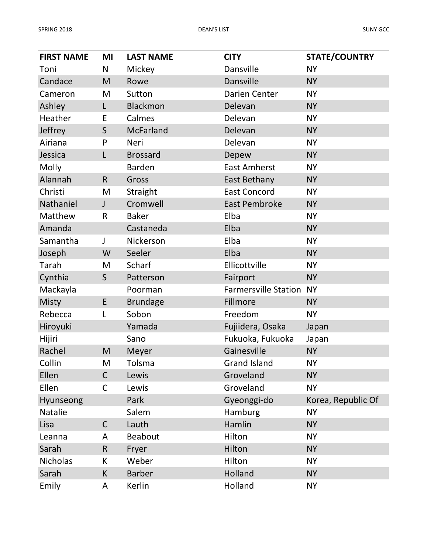| <b>FIRST NAME</b> | MI          | <b>LAST NAME</b> | <b>CITY</b>                 | <b>STATE/COUNTRY</b> |
|-------------------|-------------|------------------|-----------------------------|----------------------|
| Toni              | N           | Mickey           | Dansville                   | <b>NY</b>            |
| Candace           | M           | Rowe             | Dansville                   | <b>NY</b>            |
| Cameron           | M           | Sutton           | <b>Darien Center</b>        | <b>NY</b>            |
| Ashley            | L           | Blackmon         | Delevan                     | <b>NY</b>            |
| Heather           | E           | Calmes           | Delevan                     | <b>NY</b>            |
| Jeffrey           | S           | <b>McFarland</b> | Delevan                     | <b>NY</b>            |
| Airiana           | P           | Neri             | Delevan                     | <b>NY</b>            |
| Jessica           | L           | <b>Brossard</b>  | Depew                       | <b>NY</b>            |
| Molly             |             | <b>Barden</b>    | <b>East Amherst</b>         | <b>NY</b>            |
| Alannah           | R           | Gross            | East Bethany                | <b>NY</b>            |
| Christi           | M           | Straight         | <b>East Concord</b>         | <b>NY</b>            |
| Nathaniel         | J           | Cromwell         | <b>East Pembroke</b>        | <b>NY</b>            |
| Matthew           | $\mathsf R$ | <b>Baker</b>     | Elba                        | <b>NY</b>            |
| Amanda            |             | Castaneda        | Elba                        | <b>NY</b>            |
| Samantha          | J           | Nickerson        | Elba                        | <b>NY</b>            |
| Joseph            | W           | Seeler           | Elba                        | <b>NY</b>            |
| Tarah             | M           | Scharf           | Ellicottville               | <b>NY</b>            |
| Cynthia           | S           | Patterson        | Fairport                    | <b>NY</b>            |
| Mackayla          |             | Poorman          | <b>Farmersville Station</b> | <b>NY</b>            |
| Misty             | E           | <b>Brundage</b>  | Fillmore                    | <b>NY</b>            |
| Rebecca           | L           | Sobon            | Freedom                     | <b>NY</b>            |
| Hiroyuki          |             | Yamada           | Fujiidera, Osaka            | Japan                |
| Hijiri            |             | Sano             | Fukuoka, Fukuoka            | Japan                |
| Rachel            | M           | Meyer            | Gainesville                 | <b>NY</b>            |
| Collin            | M           | Tolsma           | Grand Island                | <b>NY</b>            |
| Ellen             | $\mathsf C$ | Lewis            | Groveland                   | <b>NY</b>            |
| Ellen             | C           | Lewis            | Groveland                   | <b>NY</b>            |
| Hyunseong         |             | Park             | Gyeonggi-do                 | Korea, Republic Of   |
| Natalie           |             | Salem            | Hamburg                     | <b>NY</b>            |
| Lisa              | $\mathsf C$ | Lauth            | Hamlin                      | <b>NY</b>            |
| Leanna            | A           | Beabout          | Hilton                      | <b>NY</b>            |
| Sarah             | R           | Fryer            | Hilton                      | <b>NY</b>            |
| <b>Nicholas</b>   | K           | Weber            | Hilton                      | <b>NY</b>            |
| Sarah             | K           | <b>Barber</b>    | Holland                     | <b>NY</b>            |
| Emily             | Α           | Kerlin           | Holland                     | <b>NY</b>            |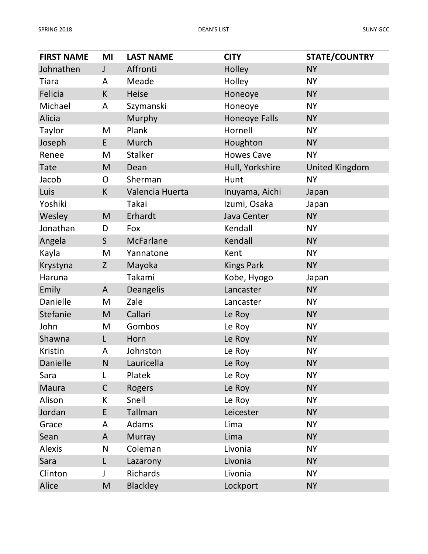| <b>FIRST NAME</b> | MI           | <b>LAST NAME</b> | <b>CITY</b>          | <b>STATE/COUNTRY</b>  |
|-------------------|--------------|------------------|----------------------|-----------------------|
| Johnathen         | J            | Affronti         | Holley               | <b>NY</b>             |
| Tiara             | A            | Meade            | Holley               | <b>NY</b>             |
| Felicia           | K            | <b>Heise</b>     | Honeoye              | <b>NY</b>             |
| Michael           | A            | Szymanski        | Honeoye              | <b>NY</b>             |
| <b>Alicia</b>     |              | Murphy           | <b>Honeoye Falls</b> | <b>NY</b>             |
| Taylor            | M            | Plank            | Hornell              | <b>NY</b>             |
| Joseph            | E.           | Murch            | Houghton             | <b>NY</b>             |
| Renee             | M            | <b>Stalker</b>   | <b>Howes Cave</b>    | <b>NY</b>             |
| <b>Tate</b>       | M            | Dean             | Hull, Yorkshire      | <b>United Kingdom</b> |
| Jacob             | O            | Sherman          | Hunt                 | <b>NY</b>             |
| Luis              | K            | Valencia Huerta  | Inuyama, Aichi       | Japan                 |
| Yoshiki           |              | Takai            | Izumi, Osaka         | Japan                 |
| Wesley            | M            | Erhardt          | Java Center          | <b>NY</b>             |
| Jonathan          | D            | Fox              | Kendall              | <b>NY</b>             |
| Angela            | S            | McFarlane        | Kendall              | <b>NY</b>             |
| Kayla             | M            | Yannatone        | Kent                 | <b>NY</b>             |
| Krystyna          | $\mathsf{Z}$ | Mayoka           | <b>Kings Park</b>    | <b>NY</b>             |
| Haruna            |              | Takami           | Kobe, Hyogo          | Japan                 |
| Emily             | A            | <b>Deangelis</b> | Lancaster            | <b>NY</b>             |
| Danielle          | M            | Zale             | Lancaster            | <b>NY</b>             |
| Stefanie          | M            | Callari          | Le Roy               | <b>NY</b>             |
| John              | M            | Gombos           | Le Roy               | <b>NY</b>             |
| Shawna            | L            | Horn             | Le Roy               | <b>NY</b>             |
| Kristin           | A            | Johnston         | Le Roy               | <b>NY</b>             |
| Danielle          | N            | Lauricella       | Le Roy               | <b>NY</b>             |
| Sara              | L            | Platek           | Le Roy               | <b>NY</b>             |
| <b>Maura</b>      | $\mathsf C$  | Rogers           | Le Roy               | <b>NY</b>             |
| Alison            | K            | Snell            | Le Roy               | <b>NY</b>             |
| Jordan            | E            | Tallman          | Leicester            | <b>NY</b>             |
| Grace             | A            | Adams            | Lima                 | <b>NY</b>             |
| Sean              | A            | <b>Murray</b>    | Lima                 | <b>NY</b>             |
| <b>Alexis</b>     | N            | Coleman          | Livonia              | <b>NY</b>             |
| Sara              | L            | Lazarony         | Livonia              | <b>NY</b>             |
| Clinton           | J            | <b>Richards</b>  | Livonia              | <b>NY</b>             |
| Alice             | M            | <b>Blackley</b>  | Lockport             | <b>NY</b>             |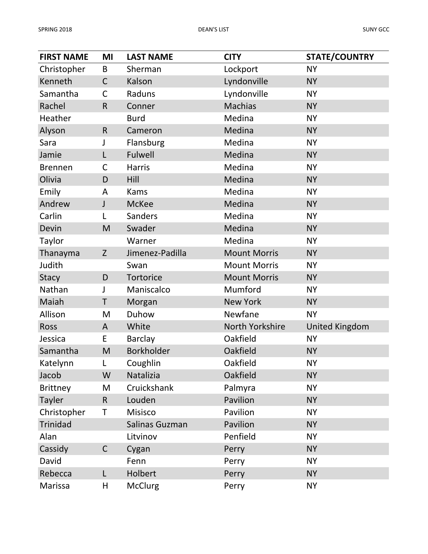| <b>FIRST NAME</b> | MI          | <b>LAST NAME</b>  | <b>CITY</b>         | <b>STATE/COUNTRY</b>  |
|-------------------|-------------|-------------------|---------------------|-----------------------|
| Christopher       | B           | Sherman           | Lockport            | <b>NY</b>             |
| Kenneth           | $\mathsf C$ | Kalson            | Lyndonville         | <b>NY</b>             |
| Samantha          | C           | Raduns            | Lyndonville         | <b>NY</b>             |
| Rachel            | R           | Conner            | <b>Machias</b>      | <b>NY</b>             |
| Heather           |             | <b>Burd</b>       | Medina              | <b>NY</b>             |
| Alyson            | $\mathsf R$ | Cameron           | Medina              | <b>NY</b>             |
| Sara              | J           | Flansburg         | Medina              | <b>NY</b>             |
| Jamie             | L           | Fulwell           | Medina              | <b>NY</b>             |
| <b>Brennen</b>    | C           | <b>Harris</b>     | Medina              | <b>NY</b>             |
| Olivia            | D           | Hill              | Medina              | <b>NY</b>             |
| Emily             | A           | <b>Kams</b>       | Medina              | <b>NY</b>             |
| Andrew            | J           | <b>McKee</b>      | Medina              | <b>NY</b>             |
| Carlin            | L           | Sanders           | Medina              | <b>NY</b>             |
| Devin             | M           | Swader            | Medina              | <b>NY</b>             |
| Taylor            |             | Warner            | Medina              | <b>NY</b>             |
| Thanayma          | Z           | Jimenez-Padilla   | <b>Mount Morris</b> | <b>NY</b>             |
| Judith            |             | Swan              | <b>Mount Morris</b> | <b>NY</b>             |
| <b>Stacy</b>      | D           | <b>Tortorice</b>  | <b>Mount Morris</b> | <b>NY</b>             |
| Nathan            | J           | Maniscalco        | Mumford             | <b>NY</b>             |
| Maiah             | Τ           | Morgan            | <b>New York</b>     | <b>NY</b>             |
| Allison           | M           | Duhow             | Newfane             | <b>NY</b>             |
| Ross              | A           | White             | North Yorkshire     | <b>United Kingdom</b> |
| Jessica           | E           | <b>Barclay</b>    | Oakfield            | <b>NY</b>             |
| Samantha          | M           | <b>Borkholder</b> | Oakfield            | <b>NY</b>             |
| Katelynn          | L           | Coughlin          | Oakfield            | <b>NY</b>             |
| Jacob             | W           | Natalizia         | Oakfield            | <b>NY</b>             |
| <b>Brittney</b>   | M           | Cruickshank       | Palmyra             | <b>NY</b>             |
| <b>Tayler</b>     | $\mathsf R$ | Louden            | Pavilion            | <b>NY</b>             |
| Christopher       | Т           | Misisco           | Pavilion            | <b>NY</b>             |
| Trinidad          |             | Salinas Guzman    | Pavilion            | <b>NY</b>             |
| Alan              |             | Litvinov          | Penfield            | <b>NY</b>             |
| Cassidy           | $\mathsf C$ | Cygan             | Perry               | <b>NY</b>             |
| David             |             | Fenn              | Perry               | <b>NY</b>             |
| Rebecca           | L           | Holbert           | Perry               | <b>NY</b>             |
| Marissa           | Н           | <b>McClurg</b>    | Perry               | <b>NY</b>             |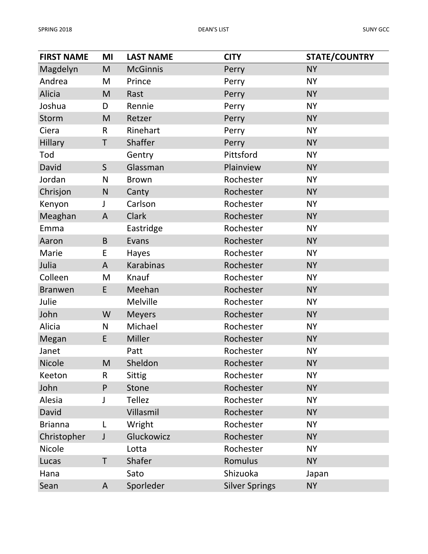| <b>FIRST NAME</b> | MI           | <b>LAST NAME</b> | <b>CITY</b>           | <b>STATE/COUNTRY</b> |
|-------------------|--------------|------------------|-----------------------|----------------------|
| Magdelyn          | M            | <b>McGinnis</b>  | Perry                 | <b>NY</b>            |
| Andrea            | M            | Prince           | Perry                 | <b>NY</b>            |
| Alicia            | M            | Rast             | Perry                 | <b>NY</b>            |
| Joshua            | D            | Rennie           | Perry                 | <b>NY</b>            |
| Storm             | M            | Retzer           | Perry                 | <b>NY</b>            |
| Ciera             | R            | Rinehart         | Perry                 | <b>NY</b>            |
| <b>Hillary</b>    | T            | Shaffer          | Perry                 | <b>NY</b>            |
| Tod               |              | Gentry           | Pittsford             | <b>NY</b>            |
| David             | S            | Glassman         | Plainview             | <b>NY</b>            |
| Jordan            | N            | <b>Brown</b>     | Rochester             | <b>NY</b>            |
| Chrisjon          | N            | Canty            | Rochester             | <b>NY</b>            |
| Kenyon            | J            | Carlson          | Rochester             | <b>NY</b>            |
| Meaghan           | A            | <b>Clark</b>     | Rochester             | <b>NY</b>            |
| Emma              |              | Eastridge        | Rochester             | <b>NY</b>            |
| Aaron             | B            | Evans            | Rochester             | <b>NY</b>            |
| Marie             | E            | Hayes            | Rochester             | <b>NY</b>            |
| Julia             | A            | <b>Karabinas</b> | Rochester             | <b>NY</b>            |
| Colleen           | M            | Knauf            | Rochester             | <b>NY</b>            |
| <b>Branwen</b>    | E            | Meehan           | Rochester             | <b>NY</b>            |
| Julie             |              | Melville         | Rochester             | <b>NY</b>            |
| John              | W            | <b>Meyers</b>    | Rochester             | <b>NY</b>            |
| Alicia            | N            | Michael          | Rochester             | <b>NY</b>            |
| Megan             | E            | Miller           | Rochester             | <b>NY</b>            |
| Janet             |              | Patt             | Rochester             | <b>NY</b>            |
| Nicole            | M            | Sheldon          | Rochester             | <b>NY</b>            |
| Keeton            | R            | <b>Sittig</b>    | Rochester             | <b>NY</b>            |
| John              | $\mathsf{P}$ | <b>Stone</b>     | Rochester             | <b>NY</b>            |
| Alesia            | J            | <b>Tellez</b>    | Rochester             | <b>NY</b>            |
| David             |              | Villasmil        | Rochester             | <b>NY</b>            |
| <b>Brianna</b>    | L            | Wright           | Rochester             | <b>NY</b>            |
| Christopher       | J            | Gluckowicz       | Rochester             | <b>NY</b>            |
| Nicole            |              | Lotta            | Rochester             | <b>NY</b>            |
| Lucas             | T            | Shafer           | Romulus               | <b>NY</b>            |
| Hana              |              | Sato             | Shizuoka              | Japan                |
| Sean              | A            | Sporleder        | <b>Silver Springs</b> | <b>NY</b>            |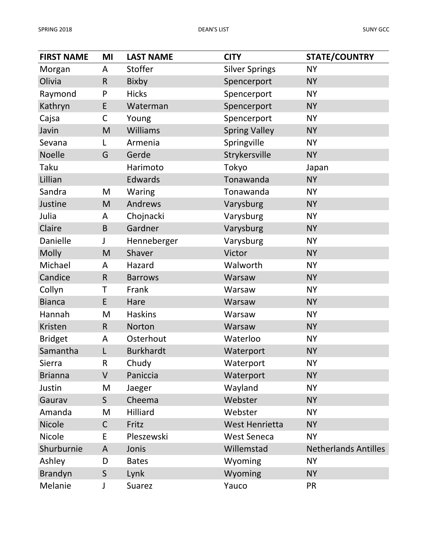| <b>FIRST NAME</b> | MI           | <b>LAST NAME</b> | <b>CITY</b>           | <b>STATE/COUNTRY</b>        |
|-------------------|--------------|------------------|-----------------------|-----------------------------|
| Morgan            | A            | Stoffer          | <b>Silver Springs</b> | <b>NY</b>                   |
| Olivia            | $\mathsf{R}$ | Bixby            | Spencerport           | <b>NY</b>                   |
| Raymond           | P            | <b>Hicks</b>     | Spencerport           | <b>NY</b>                   |
| Kathryn           | E            | Waterman         | Spencerport           | <b>NY</b>                   |
| Cajsa             | C            | Young            | Spencerport           | <b>NY</b>                   |
| Javin             | M            | <b>Williams</b>  | <b>Spring Valley</b>  | <b>NY</b>                   |
| Sevana            | L            | Armenia          | Springville           | <b>NY</b>                   |
| <b>Noelle</b>     | G            | Gerde            | Strykersville         | <b>NY</b>                   |
| Taku              |              | Harimoto         | Tokyo                 | Japan                       |
| Lillian           |              | Edwards          | Tonawanda             | <b>NY</b>                   |
| Sandra            | M            | <b>Waring</b>    | Tonawanda             | <b>NY</b>                   |
| Justine           | M            | Andrews          | Varysburg             | <b>NY</b>                   |
| Julia             | A            | Chojnacki        | Varysburg             | <b>NY</b>                   |
| Claire            | B            | Gardner          | Varysburg             | <b>NY</b>                   |
| Danielle          | J            | Henneberger      | Varysburg             | <b>NY</b>                   |
| <b>Molly</b>      | M            | Shaver           | Victor                | <b>NY</b>                   |
| Michael           | A            | Hazard           | Walworth              | <b>NY</b>                   |
| Candice           | $\mathsf R$  | <b>Barrows</b>   | Warsaw                | <b>NY</b>                   |
| Collyn            | Τ            | Frank            | Warsaw                | <b>NY</b>                   |
| <b>Bianca</b>     | E            | Hare             | Warsaw                | <b>NY</b>                   |
| Hannah            | M            | <b>Haskins</b>   | Warsaw                | <b>NY</b>                   |
| Kristen           | $\mathsf{R}$ | Norton           | Warsaw                | <b>NY</b>                   |
| <b>Bridget</b>    | A            | Osterhout        | Waterloo              | <b>NY</b>                   |
| Samantha          | L            | <b>Burkhardt</b> | Waterport             | <b>NY</b>                   |
| Sierra            | R            | Chudy            | Waterport             | <b>NY</b>                   |
| <b>Brianna</b>    | V            | Paniccia         | Waterport             | <b>NY</b>                   |
| Justin            | M            | Jaeger           | Wayland               | <b>NY</b>                   |
| Gaurav            | S            | Cheema           | Webster               | <b>NY</b>                   |
| Amanda            | M            | Hilliard         | Webster               | <b>NY</b>                   |
| <b>Nicole</b>     | $\mathsf C$  | Fritz            | West Henrietta        | <b>NY</b>                   |
| Nicole            | E            | Pleszewski       | <b>West Seneca</b>    | <b>NY</b>                   |
| Shurburnie        | A            | Jonis            | Willemstad            | <b>Netherlands Antilles</b> |
| Ashley            | D            | <b>Bates</b>     | Wyoming               | <b>NY</b>                   |
| <b>Brandyn</b>    | S            | Lynk             | Wyoming               | <b>NY</b>                   |
| Melanie           | J            | Suarez           | Yauco                 | PR                          |